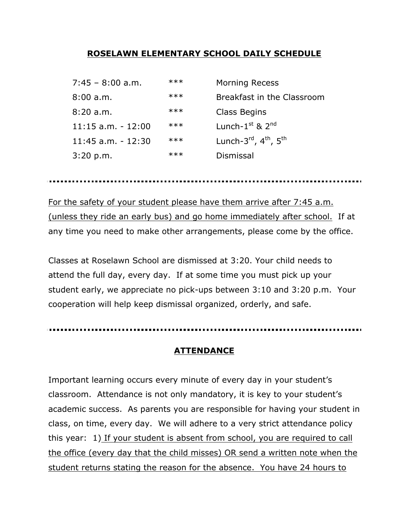#### **ROSELAWN ELEMENTARY SCHOOL DAILY SCHEDULE**

| $7:45 - 8:00$ a.m.     | $***$ | <b>Morning Recess</b>                                      |
|------------------------|-------|------------------------------------------------------------|
| 8:00a.m.               | $***$ | Breakfast in the Classroom                                 |
| 8:20a.m.               | $***$ | Class Begins                                               |
| $11:15$ a.m. - $12:00$ | $***$ | Lunch- $1st$ & $2nd$                                       |
| $11:45$ a.m. - $12:30$ | $***$ | Lunch- $3^{\text{rd}}$ , $4^{\text{th}}$ , $5^{\text{th}}$ |
| 3:20 p.m.              | $***$ | Dismissal                                                  |

For the safety of your student please have them arrive after 7:45 a.m. (unless they ride an early bus) and go home immediately after school. If at any time you need to make other arrangements, please come by the office.

Classes at Roselawn School are dismissed at 3:20. Your child needs to attend the full day, every day. If at some time you must pick up your student early, we appreciate no pick-ups between 3:10 and 3:20 p.m. Your cooperation will help keep dismissal organized, orderly, and safe.

#### **ATTENDANCE**

Important learning occurs every minute of every day in your student's classroom. Attendance is not only mandatory, it is key to your student's academic success. As parents you are responsible for having your student in class, on time, every day. We will adhere to a very strict attendance policy this year: 1) If your student is absent from school, you are required to call the office (every day that the child misses) OR send a written note when the student returns stating the reason for the absence. You have 24 hours to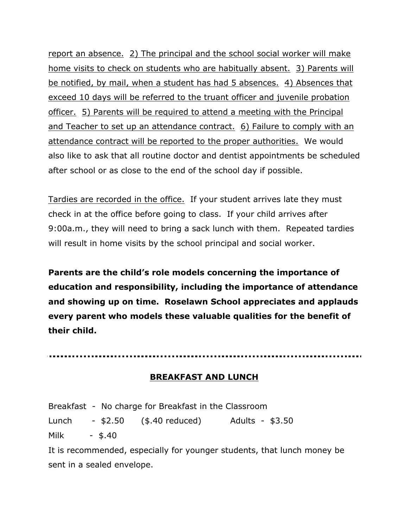report an absence. 2) The principal and the school social worker will make home visits to check on students who are habitually absent. 3) Parents will be notified, by mail, when a student has had 5 absences. 4) Absences that exceed 10 days will be referred to the truant officer and juvenile probation officer. 5) Parents will be required to attend a meeting with the Principal and Teacher to set up an attendance contract. 6) Failure to comply with an attendance contract will be reported to the proper authorities. We would also like to ask that all routine doctor and dentist appointments be scheduled after school or as close to the end of the school day if possible.

Tardies are recorded in the office. If your student arrives late they must check in at the office before going to class. If your child arrives after 9:00a.m., they will need to bring a sack lunch with them. Repeated tardies will result in home visits by the school principal and social worker.

**Parents are the child's role models concerning the importance of education and responsibility, including the importance of attendance and showing up on time. Roselawn School appreciates and applauds every parent who models these valuable qualities for the benefit of their child.**

#### **BREAKFAST AND LUNCH**

Breakfast - No charge for Breakfast in the Classroom Lunch - \$2.50 (\$.40 reduced) Adults - \$3.50 Milk - \$.40 It is recommended, especially for younger students, that lunch money be

sent in a sealed envelope.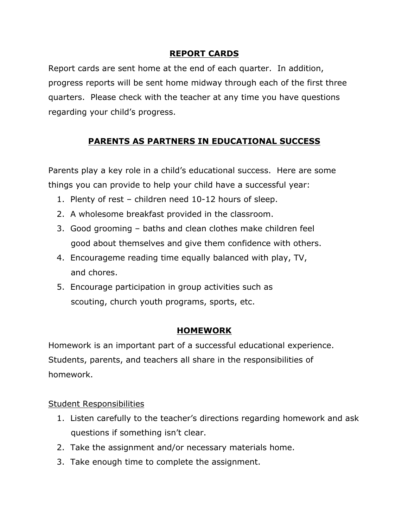# **REPORT CARDS**

Report cards are sent home at the end of each quarter. In addition, progress reports will be sent home midway through each of the first three quarters. Please check with the teacher at any time you have questions regarding your child's progress.

# **PARENTS AS PARTNERS IN EDUCATIONAL SUCCESS**

Parents play a key role in a child's educational success. Here are some things you can provide to help your child have a successful year:

- 1. Plenty of rest children need 10-12 hours of sleep.
- 2. A wholesome breakfast provided in the classroom.
- 3. Good grooming baths and clean clothes make children feel good about themselves and give them confidence with others.
- 4. Encourageme reading time equally balanced with play, TV, and chores.
- 5. Encourage participation in group activities such as scouting, church youth programs, sports, etc.

# **HOMEWORK**

Homework is an important part of a successful educational experience. Students, parents, and teachers all share in the responsibilities of homework.

# Student Responsibilities

- 1. Listen carefully to the teacher's directions regarding homework and ask questions if something isn't clear.
- 2. Take the assignment and/or necessary materials home.
- 3. Take enough time to complete the assignment.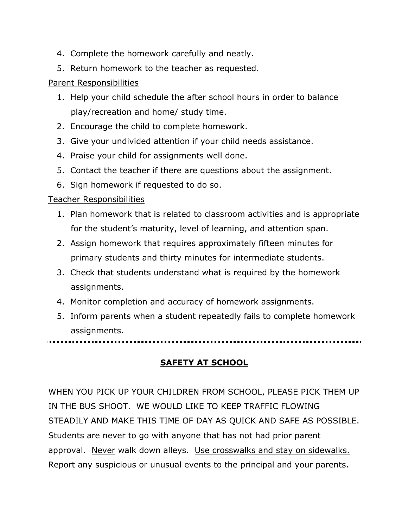- 4. Complete the homework carefully and neatly.
- 5. Return homework to the teacher as requested.

# Parent Responsibilities

- 1. Help your child schedule the after school hours in order to balance play/recreation and home/ study time.
- 2. Encourage the child to complete homework.
- 3. Give your undivided attention if your child needs assistance.
- 4. Praise your child for assignments well done.
- 5. Contact the teacher if there are questions about the assignment.
- 6. Sign homework if requested to do so.

# Teacher Responsibilities

- 1. Plan homework that is related to classroom activities and is appropriate for the student's maturity, level of learning, and attention span.
- 2. Assign homework that requires approximately fifteen minutes for primary students and thirty minutes for intermediate students.
- 3. Check that students understand what is required by the homework assignments.
- 4. Monitor completion and accuracy of homework assignments.
- 5. Inform parents when a student repeatedly fails to complete homework assignments.

. . . . . . . .

# **SAFETY AT SCHOOL**

WHEN YOU PICK UP YOUR CHILDREN FROM SCHOOL, PLEASE PICK THEM UP IN THE BUS SHOOT. WE WOULD LIKE TO KEEP TRAFFIC FLOWING STEADILY AND MAKE THIS TIME OF DAY AS QUICK AND SAFE AS POSSIBLE. Students are never to go with anyone that has not had prior parent approval. Never walk down alleys. Use crosswalks and stay on sidewalks. Report any suspicious or unusual events to the principal and your parents.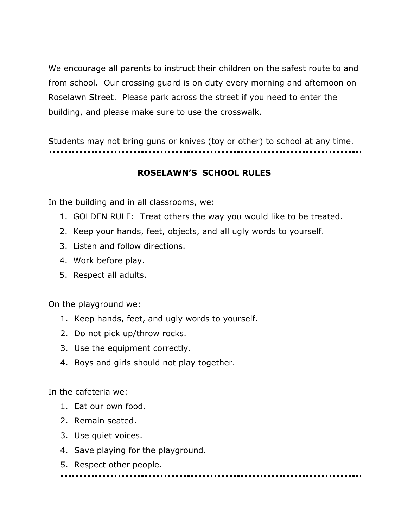We encourage all parents to instruct their children on the safest route to and from school. Our crossing guard is on duty every morning and afternoon on Roselawn Street. Please park across the street if you need to enter the building, and please make sure to use the crosswalk.

Students may not bring guns or knives (toy or other) to school at any time.

# **ROSELAWN'S SCHOOL RULES**

In the building and in all classrooms, we:

- 1. GOLDEN RULE: Treat others the way you would like to be treated.
- 2. Keep your hands, feet, objects, and all ugly words to yourself.
- 3. Listen and follow directions.
- 4. Work before play.
- 5. Respect all adults.

On the playground we:

- 1. Keep hands, feet, and ugly words to yourself.
- 2. Do not pick up/throw rocks.
- 3. Use the equipment correctly.
- 4. Boys and girls should not play together.

In the cafeteria we:

- 1. Eat our own food.
- 2. Remain seated.
- 3. Use quiet voices.
- 4. Save playing for the playground.
- 5. Respect other people.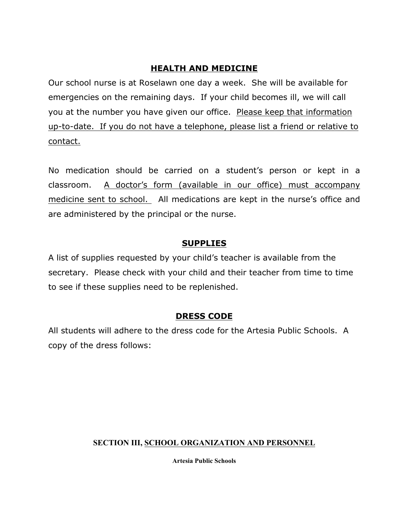#### **HEALTH AND MEDICINE**

Our school nurse is at Roselawn one day a week. She will be available for emergencies on the remaining days. If your child becomes ill, we will call you at the number you have given our office. Please keep that information up-to-date. If you do not have a telephone, please list a friend or relative to contact.

No medication should be carried on a student's person or kept in a classroom. A doctor's form (available in our office) must accompany medicine sent to school. All medications are kept in the nurse's office and are administered by the principal or the nurse.

# **SUPPLIES**

A list of supplies requested by your child's teacher is available from the secretary. Please check with your child and their teacher from time to time to see if these supplies need to be replenished.

# **DRESS CODE**

All students will adhere to the dress code for the Artesia Public Schools. A copy of the dress follows:

# **SECTION III, SCHOOL ORGANIZATION AND PERSONNEL**

**Artesia Public Schools**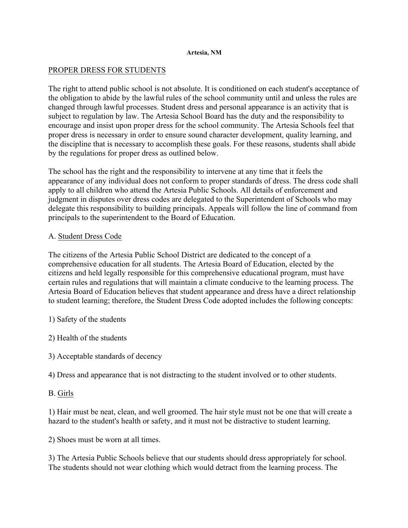#### **Artesia, NM**

#### PROPER DRESS FOR STUDENTS

The right to attend public school is not absolute. It is conditioned on each student's acceptance of the obligation to abide by the lawful rules of the school community until and unless the rules are changed through lawful processes. Student dress and personal appearance is an activity that is subject to regulation by law. The Artesia School Board has the duty and the responsibility to encourage and insist upon proper dress for the school community. The Artesia Schools feel that proper dress is necessary in order to ensure sound character development, quality learning, and the discipline that is necessary to accomplish these goals. For these reasons, students shall abide by the regulations for proper dress as outlined below.

The school has the right and the responsibility to intervene at any time that it feels the appearance of any individual does not conform to proper standards of dress. The dress code shall apply to all children who attend the Artesia Public Schools. All details of enforcement and judgment in disputes over dress codes are delegated to the Superintendent of Schools who may delegate this responsibility to building principals. Appeals will follow the line of command from principals to the superintendent to the Board of Education.

#### A. Student Dress Code

The citizens of the Artesia Public School District are dedicated to the concept of a comprehensive education for all students. The Artesia Board of Education, elected by the citizens and held legally responsible for this comprehensive educational program, must have certain rules and regulations that will maintain a climate conducive to the learning process. The Artesia Board of Education believes that student appearance and dress have a direct relationship to student learning; therefore, the Student Dress Code adopted includes the following concepts:

1) Safety of the students

- 2) Health of the students
- 3) Acceptable standards of decency

4) Dress and appearance that is not distracting to the student involved or to other students.

#### B. Girls

1) Hair must be neat, clean, and well groomed. The hair style must not be one that will create a hazard to the student's health or safety, and it must not be distractive to student learning.

2) Shoes must be worn at all times.

3) The Artesia Public Schools believe that our students should dress appropriately for school. The students should not wear clothing which would detract from the learning process. The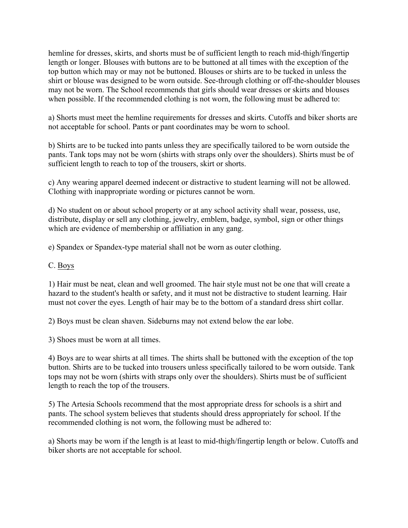hemline for dresses, skirts, and shorts must be of sufficient length to reach mid-thigh/fingertip length or longer. Blouses with buttons are to be buttoned at all times with the exception of the top button which may or may not be buttoned. Blouses or shirts are to be tucked in unless the shirt or blouse was designed to be worn outside. See-through clothing or off-the-shoulder blouses may not be worn. The School recommends that girls should wear dresses or skirts and blouses when possible. If the recommended clothing is not worn, the following must be adhered to:

a) Shorts must meet the hemline requirements for dresses and skirts. Cutoffs and biker shorts are not acceptable for school. Pants or pant coordinates may be worn to school.

b) Shirts are to be tucked into pants unless they are specifically tailored to be worn outside the pants. Tank tops may not be worn (shirts with straps only over the shoulders). Shirts must be of sufficient length to reach to top of the trousers, skirt or shorts.

c) Any wearing apparel deemed indecent or distractive to student learning will not be allowed. Clothing with inappropriate wording or pictures cannot be worn.

d) No student on or about school property or at any school activity shall wear, possess, use, distribute, display or sell any clothing, jewelry, emblem, badge, symbol, sign or other things which are evidence of membership or affiliation in any gang.

e) Spandex or Spandex-type material shall not be worn as outer clothing.

#### C. Boys

1) Hair must be neat, clean and well groomed. The hair style must not be one that will create a hazard to the student's health or safety, and it must not be distractive to student learning. Hair must not cover the eyes. Length of hair may be to the bottom of a standard dress shirt collar.

2) Boys must be clean shaven. Sideburns may not extend below the ear lobe.

3) Shoes must be worn at all times.

4) Boys are to wear shirts at all times. The shirts shall be buttoned with the exception of the top button. Shirts are to be tucked into trousers unless specifically tailored to be worn outside. Tank tops may not be worn (shirts with straps only over the shoulders). Shirts must be of sufficient length to reach the top of the trousers.

5) The Artesia Schools recommend that the most appropriate dress for schools is a shirt and pants. The school system believes that students should dress appropriately for school. If the recommended clothing is not worn, the following must be adhered to:

a) Shorts may be worn if the length is at least to mid-thigh/fingertip length or below. Cutoffs and biker shorts are not acceptable for school.